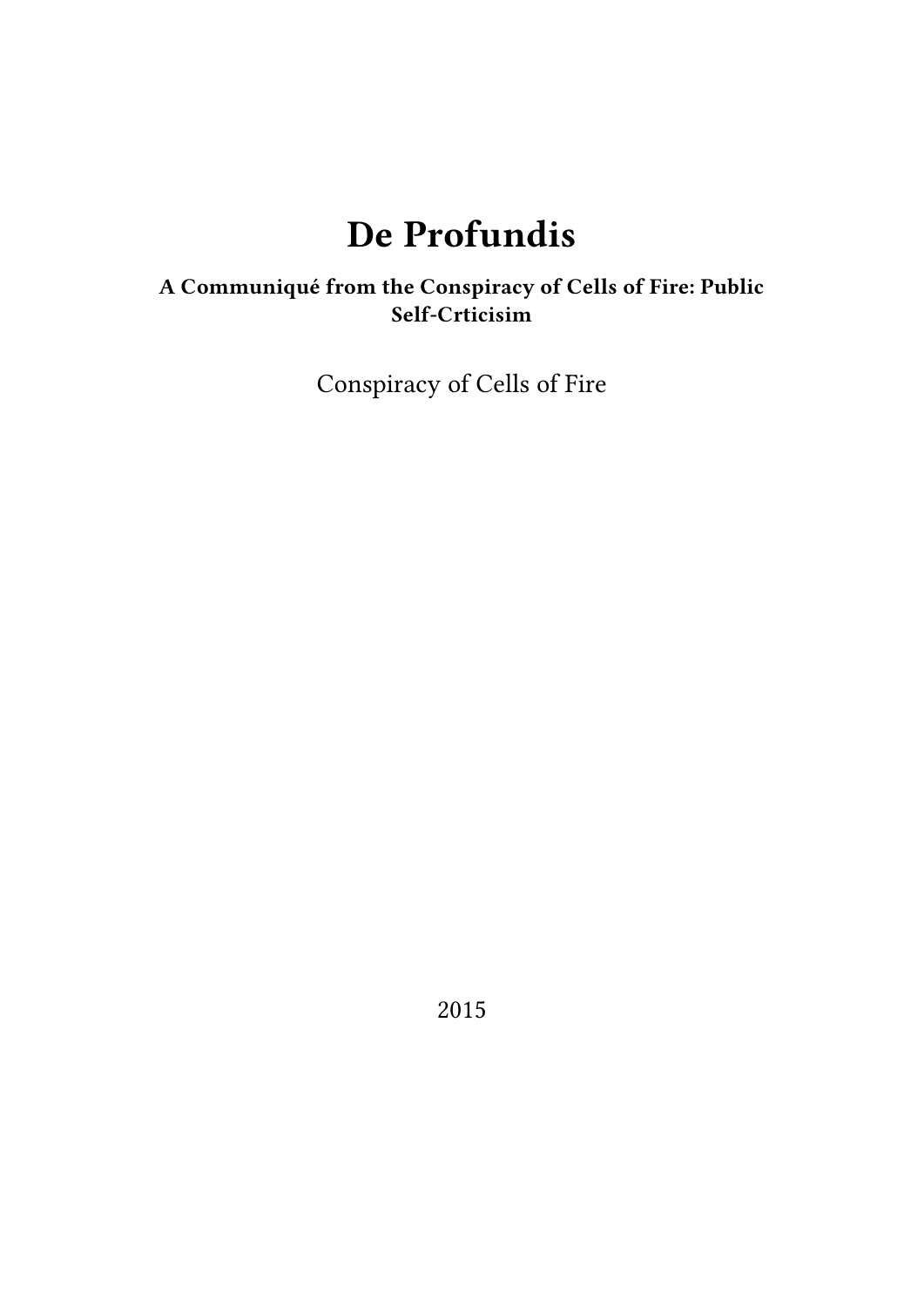# **De Profundis**

# **A Communiqué from the Conspiracy of Cells of Fire: Public Self-Crticisim**

Conspiracy of Cells of Fire

2015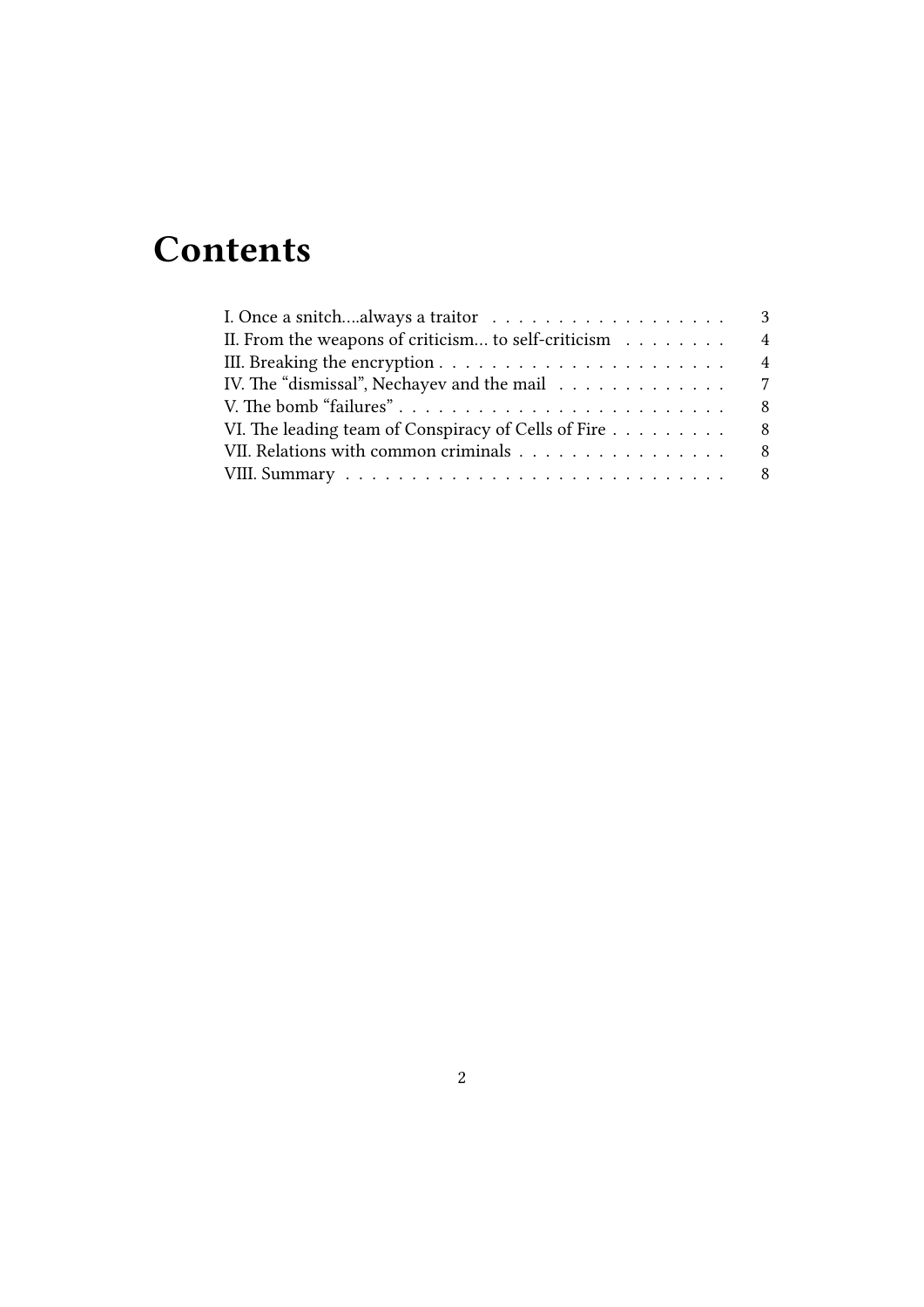# **Contents**

| II. From the weapons of criticism to self-criticism $\ldots \ldots$        | $\overline{4}$ |
|----------------------------------------------------------------------------|----------------|
|                                                                            | $\overline{4}$ |
| IV. The "dismissal", Nechayev and the mail $\ldots \ldots \ldots \ldots$ 7 |                |
|                                                                            | -8             |
| VI. The leading team of Conspiracy of Cells of Fire                        | -8             |
| VII. Relations with common criminals 8                                     |                |
|                                                                            |                |
|                                                                            |                |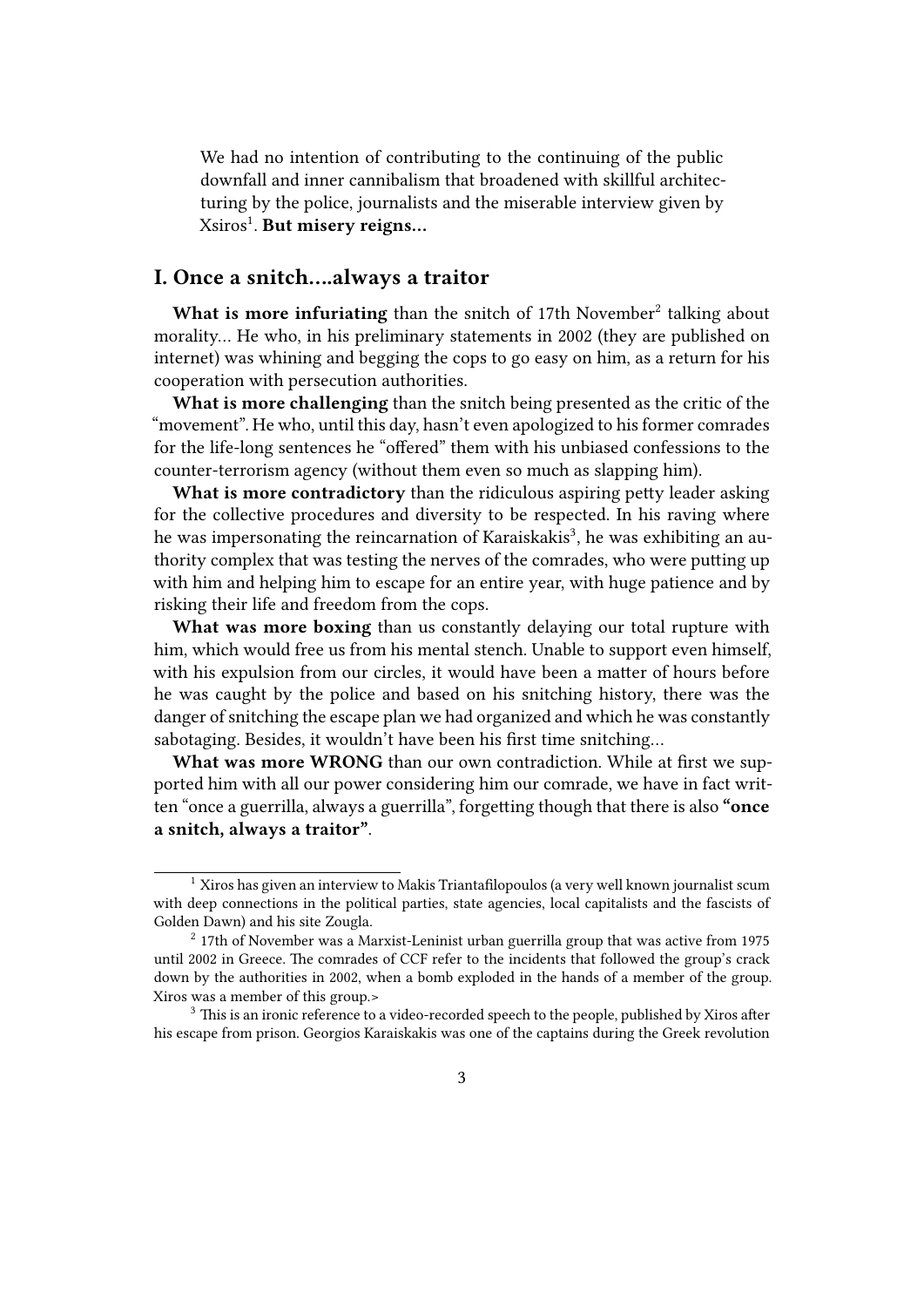We had no intention of contributing to the continuing of the public downfall and inner cannibalism that broadened with skillful architecturing by the police, journalists and the miserable interview given by Xsiros<sup>1</sup> . **But misery reigns…**

## <span id="page-2-0"></span>**I. Once a snitch….always a traitor**

What is more infuriating than the snitch of 17th November<sup>2</sup> talking about morality… He who, in his preliminary statements in 2002 (they are published on internet) was whining and begging the cops to go easy on him, as a return for his cooperation with persecution authorities.

**What is more challenging** than the snitch being presented as the critic of the "movement". He who, until this day, hasn't even apologized to his former comrades for the life-long sentences he "offered" them with his unbiased confessions to the counter-terrorism agency (without them even so much as slapping him).

**What is more contradictory** than the ridiculous aspiring petty leader asking for the collective procedures and diversity to be respected. In his raving where he was impersonating the reincarnation of Karaiskakis<sup>3</sup>, he was exhibiting an authority complex that was testing the nerves of the comrades, who were putting up with him and helping him to escape for an entire year, with huge patience and by risking their life and freedom from the cops.

**What was more boxing** than us constantly delaying our total rupture with him, which would free us from his mental stench. Unable to support even himself, with his expulsion from our circles, it would have been a matter of hours before he was caught by the police and based on his snitching history, there was the danger of snitching the escape plan we had organized and which he was constantly sabotaging. Besides, it wouldn't have been his first time snitching…

**What was more WRONG** than our own contradiction. While at first we supported him with all our power considering him our comrade, we have in fact written "once a guerrilla, always a guerrilla", forgetting though that there is also **"once a snitch, always a traitor"**.

<sup>&</sup>lt;sup>1</sup> Xiros has given an interview to Makis Triantafilopoulos (a very well known journalist scum with deep connections in the political parties, state agencies, local capitalists and the fascists of Golden Dawn) and his site Zougla.

 $2$  17th of November was a Marxist-Leninist urban guerrilla group that was active from 1975 until 2002 in Greece. The comrades of CCF refer to the incidents that followed the group's crack down by the authorities in 2002, when a bomb exploded in the hands of a member of the group. Xiros was a member of this group.>

<sup>&</sup>lt;sup>3</sup> This is an ironic reference to a video-recorded speech to the people, published by Xiros after his escape from prison. Georgios Karaiskakis was one of the captains during the Greek revolution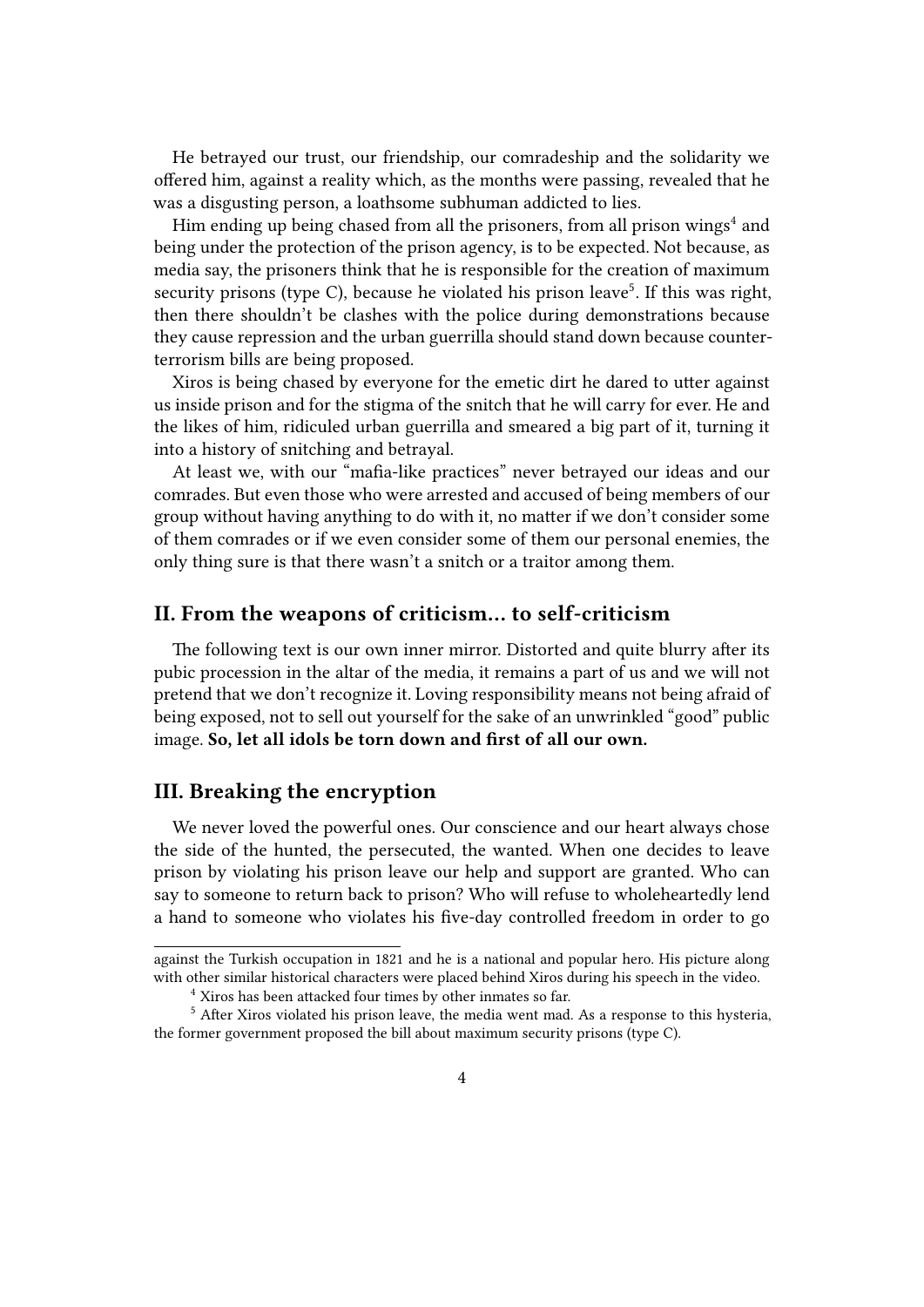He betrayed our trust, our friendship, our comradeship and the solidarity we offered him, against a reality which, as the months were passing, revealed that he was a disgusting person, a loathsome subhuman addicted to lies.

Him ending up being chased from all the prisoners, from all prison wings $^4$  and being under the protection of the prison agency, is to be expected. Not because, as media say, the prisoners think that he is responsible for the creation of maximum security prisons (type C), because he violated his prison leave<sup>5</sup>. If this was right, then there shouldn't be clashes with the police during demonstrations because they cause repression and the urban guerrilla should stand down because counterterrorism bills are being proposed.

Xiros is being chased by everyone for the emetic dirt he dared to utter against us inside prison and for the stigma of the snitch that he will carry for ever. He and the likes of him, ridiculed urban guerrilla and smeared a big part of it, turning it into a history of snitching and betrayal.

At least we, with our "mafia-like practices" never betrayed our ideas and our comrades. But even those who were arrested and accused of being members of our group without having anything to do with it, no matter if we don't consider some of them comrades or if we even consider some of them our personal enemies, the only thing sure is that there wasn't a snitch or a traitor among them.

### <span id="page-3-0"></span>**II. From the weapons of criticism… to self-criticism**

The following text is our own inner mirror. Distorted and quite blurry after its pubic procession in the altar of the media, it remains a part of us and we will not pretend that we don't recognize it. Loving responsibility means not being afraid of being exposed, not to sell out yourself for the sake of an unwrinkled "good" public image. **So, let all idols be torn down and first of all our own.**

## <span id="page-3-1"></span>**III. Breaking the encryption**

We never loved the powerful ones. Our conscience and our heart always chose the side of the hunted, the persecuted, the wanted. When one decides to leave prison by violating his prison leave our help and support are granted. Who can say to someone to return back to prison? Who will refuse to wholeheartedly lend a hand to someone who violates his five-day controlled freedom in order to go

against the Turkish occupation in 1821 and he is a national and popular hero. His picture along with other similar historical characters were placed behind Xiros during his speech in the video.

<sup>4</sup> Xiros has been attacked four times by other inmates so far.

<sup>&</sup>lt;sup>5</sup> After Xiros violated his prison leave, the media went mad. As a response to this hysteria, the former government proposed the bill about maximum security prisons (type C).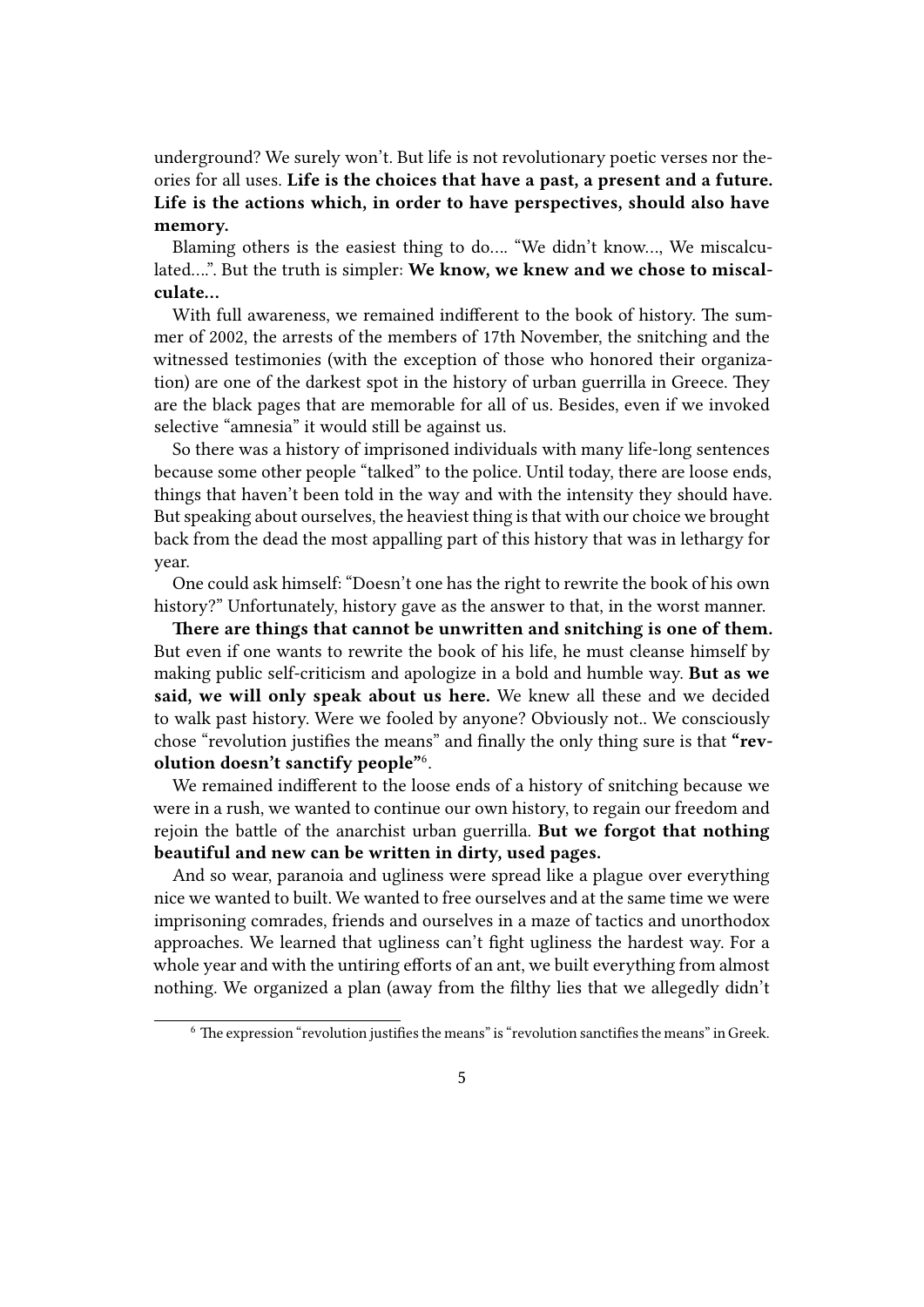underground? We surely won't. But life is not revolutionary poetic verses nor theories for all uses. **Life is the choices that have a past, a present and a future. Life is the actions which, in order to have perspectives, should also have memory.**

Blaming others is the easiest thing to do…. "We didn't know…, We miscalculated….". But the truth is simpler: **We know, we knew and we chose to miscalculate…**

With full awareness, we remained indifferent to the book of history. The summer of 2002, the arrests of the members of 17th November, the snitching and the witnessed testimonies (with the exception of those who honored their organization) are one of the darkest spot in the history of urban guerrilla in Greece. They are the black pages that are memorable for all of us. Besides, even if we invoked selective "amnesia" it would still be against us.

So there was a history of imprisoned individuals with many life-long sentences because some other people "talked" to the police. Until today, there are loose ends, things that haven't been told in the way and with the intensity they should have. But speaking about ourselves, the heaviest thing is that with our choice we brought back from the dead the most appalling part of this history that was in lethargy for year.

One could ask himself: "Doesn't one has the right to rewrite the book of his own history?" Unfortunately, history gave as the answer to that, in the worst manner.

**There are things that cannot be unwritten and snitching is one of them.** But even if one wants to rewrite the book of his life, he must cleanse himself by making public self-criticism and apologize in a bold and humble way. **But as we said, we will only speak about us here.** We knew all these and we decided to walk past history. Were we fooled by anyone? Obviously not.. We consciously chose "revolution justifies the means" and finally the only thing sure is that **"revolution doesn't sanctify people"**<sup>6</sup> .

We remained indifferent to the loose ends of a history of snitching because we were in a rush, we wanted to continue our own history, to regain our freedom and rejoin the battle of the anarchist urban guerrilla. **But we forgot that nothing beautiful and new can be written in dirty, used pages.**

And so wear, paranoia and ugliness were spread like a plague over everything nice we wanted to built. We wanted to free ourselves and at the same time we were imprisoning comrades, friends and ourselves in a maze of tactics and unorthodox approaches. We learned that ugliness can't fight ugliness the hardest way. For a whole year and with the untiring efforts of an ant, we built everything from almost nothing. We organized a plan (away from the filthy lies that we allegedly didn't

 $6$  The expression "revolution justifies the means" is "revolution sanctifies the means" in Greek.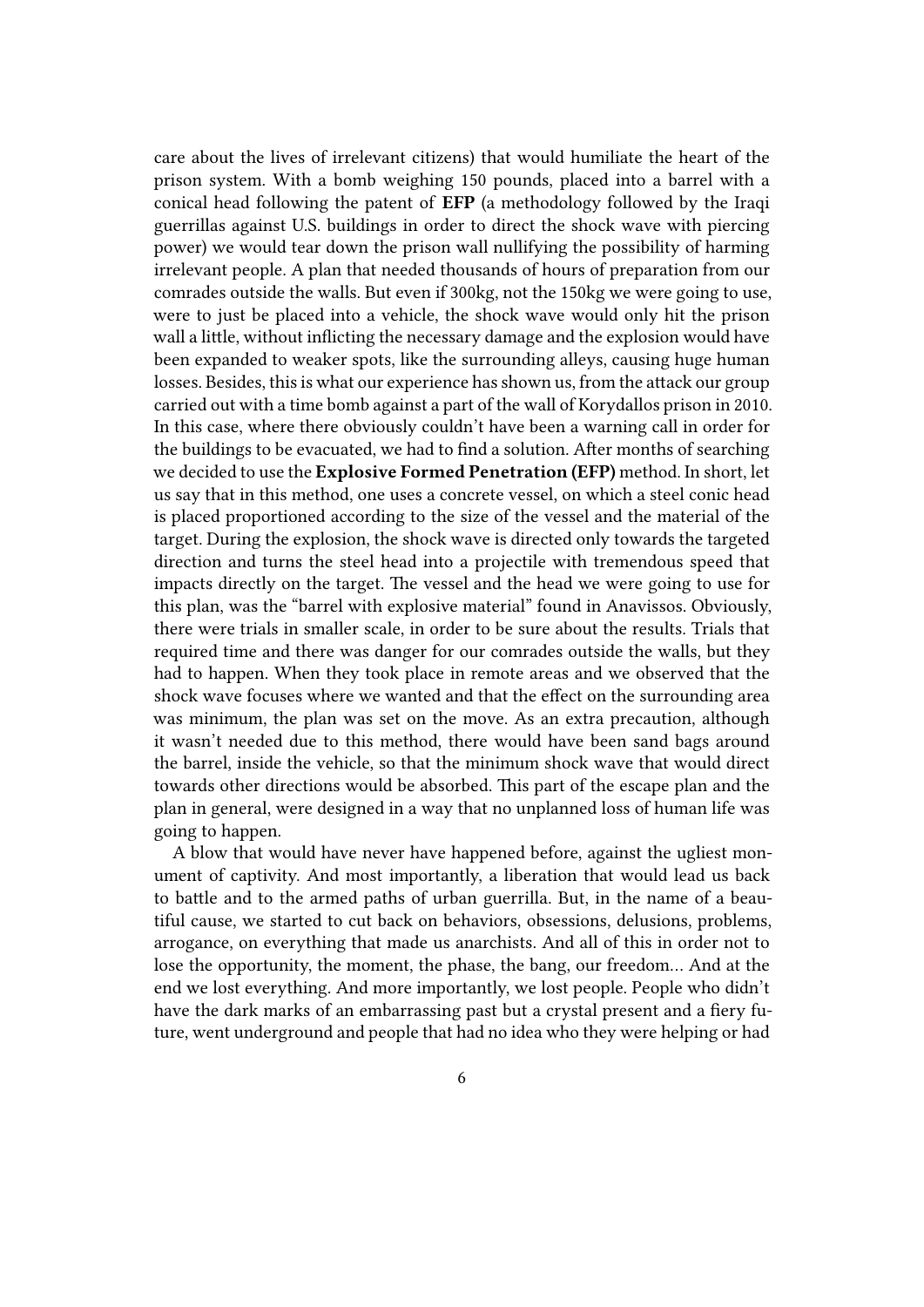care about the lives of irrelevant citizens) that would humiliate the heart of the prison system. With a bomb weighing 150 pounds, placed into a barrel with a conical head following the patent of **EFP** (a methodology followed by the Iraqi guerrillas against U.S. buildings in order to direct the shock wave with piercing power) we would tear down the prison wall nullifying the possibility of harming irrelevant people. A plan that needed thousands of hours of preparation from our comrades outside the walls. But even if 300kg, not the 150kg we were going to use, were to just be placed into a vehicle, the shock wave would only hit the prison wall a little, without inflicting the necessary damage and the explosion would have been expanded to weaker spots, like the surrounding alleys, causing huge human losses. Besides, this is what our experience has shown us, from the attack our group carried out with a time bomb against a part of the wall of Korydallos prison in 2010. In this case, where there obviously couldn't have been a warning call in order for the buildings to be evacuated, we had to find a solution. After months of searching we decided to use the **Explosive Formed Penetration (EFP)** method. In short, let us say that in this method, one uses a concrete vessel, on which a steel conic head is placed proportioned according to the size of the vessel and the material of the target. During the explosion, the shock wave is directed only towards the targeted direction and turns the steel head into a projectile with tremendous speed that impacts directly on the target. The vessel and the head we were going to use for this plan, was the "barrel with explosive material" found in Anavissos. Obviously, there were trials in smaller scale, in order to be sure about the results. Trials that required time and there was danger for our comrades outside the walls, but they had to happen. When they took place in remote areas and we observed that the shock wave focuses where we wanted and that the effect on the surrounding area was minimum, the plan was set on the move. As an extra precaution, although it wasn't needed due to this method, there would have been sand bags around the barrel, inside the vehicle, so that the minimum shock wave that would direct towards other directions would be absorbed. This part of the escape plan and the plan in general, were designed in a way that no unplanned loss of human life was going to happen.

A blow that would have never have happened before, against the ugliest monument of captivity. And most importantly, a liberation that would lead us back to battle and to the armed paths of urban guerrilla. But, in the name of a beautiful cause, we started to cut back on behaviors, obsessions, delusions, problems, arrogance, on everything that made us anarchists. And all of this in order not to lose the opportunity, the moment, the phase, the bang, our freedom… And at the end we lost everything. And more importantly, we lost people. People who didn't have the dark marks of an embarrassing past but a crystal present and a fiery future, went underground and people that had no idea who they were helping or had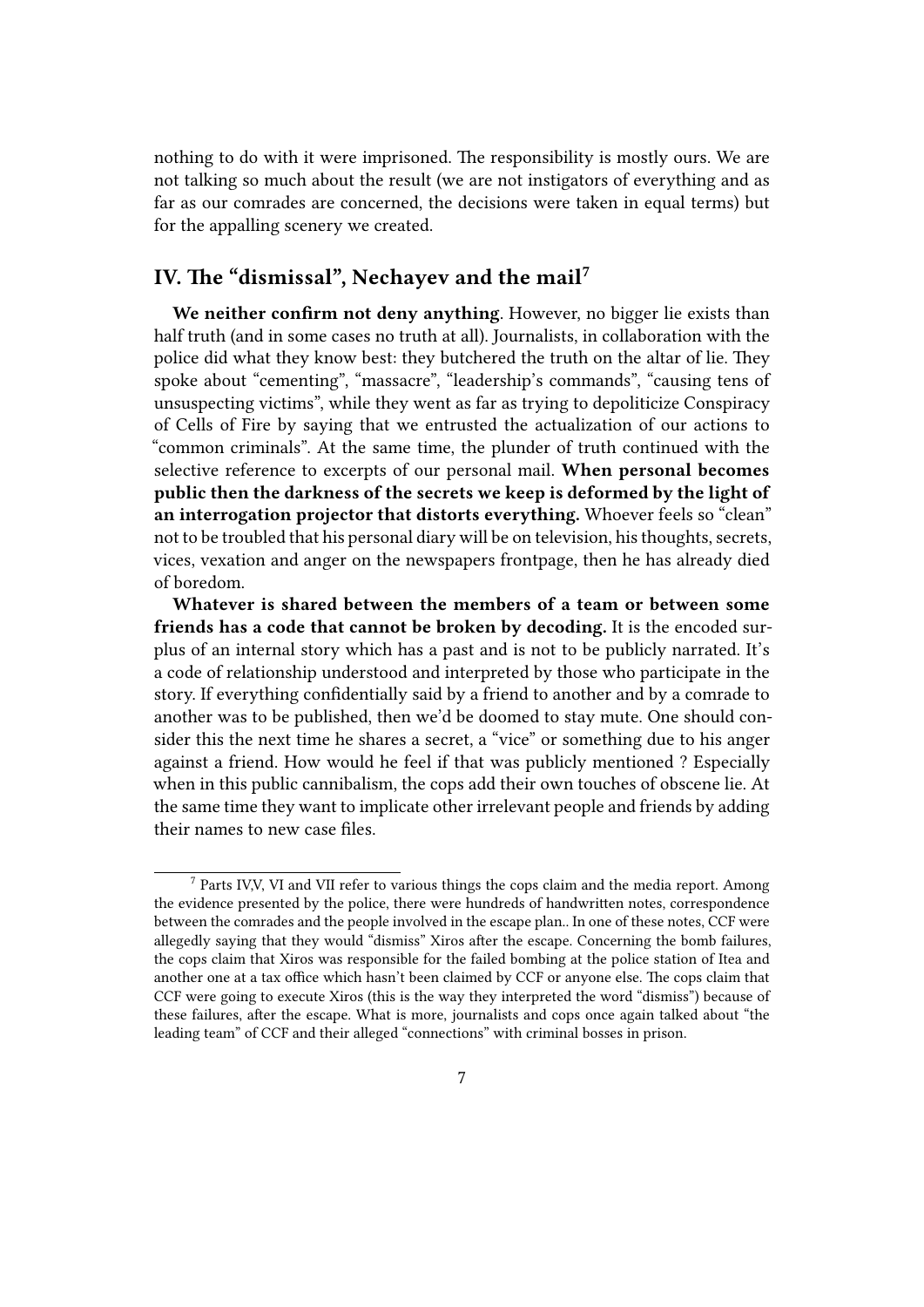nothing to do with it were imprisoned. The responsibility is mostly ours. We are not talking so much about the result (we are not instigators of everything and as far as our comrades are concerned, the decisions were taken in equal terms) but for the appalling scenery we created.

# <span id="page-6-0"></span>**IV. The "dismissal", Nechayev and the mail<sup>7</sup>**

**We neither confirm not deny anything**. However, no bigger lie exists than half truth (and in some cases no truth at all). Journalists, in collaboration with the police did what they know best: they butchered the truth on the altar of lie. They spoke about "cementing", "massacre", "leadership's commands", "causing tens of unsuspecting victims", while they went as far as trying to depoliticize Conspiracy of Cells of Fire by saying that we entrusted the actualization of our actions to "common criminals". At the same time, the plunder of truth continued with the selective reference to excerpts of our personal mail. **When personal becomes public then the darkness of the secrets we keep is deformed by the light of an interrogation projector that distorts everything.** Whoever feels so "clean" not to be troubled that his personal diary will be on television, his thoughts, secrets, vices, vexation and anger on the newspapers frontpage, then he has already died of boredom.

**Whatever is shared between the members of a team or between some friends has a code that cannot be broken by decoding.** It is the encoded surplus of an internal story which has a past and is not to be publicly narrated. It's a code of relationship understood and interpreted by those who participate in the story. If everything confidentially said by a friend to another and by a comrade to another was to be published, then we'd be doomed to stay mute. One should consider this the next time he shares a secret, a "vice" or something due to his anger against a friend. How would he feel if that was publicly mentioned ? Especially when in this public cannibalism, the cops add their own touches of obscene lie. At the same time they want to implicate other irrelevant people and friends by adding their names to new case files.

<sup>7</sup> Parts IV,V, VI and VII refer to various things the cops claim and the media report. Among the evidence presented by the police, there were hundreds of handwritten notes, correspondence between the comrades and the people involved in the escape plan.. In one of these notes, CCF were allegedly saying that they would "dismiss" Xiros after the escape. Concerning the bomb failures, the cops claim that Xiros was responsible for the failed bombing at the police station of Itea and another one at a tax office which hasn't been claimed by CCF or anyone else. The cops claim that CCF were going to execute Xiros (this is the way they interpreted the word "dismiss") because of these failures, after the escape. What is more, journalists and cops once again talked about "the leading team" of CCF and their alleged "connections" with criminal bosses in prison.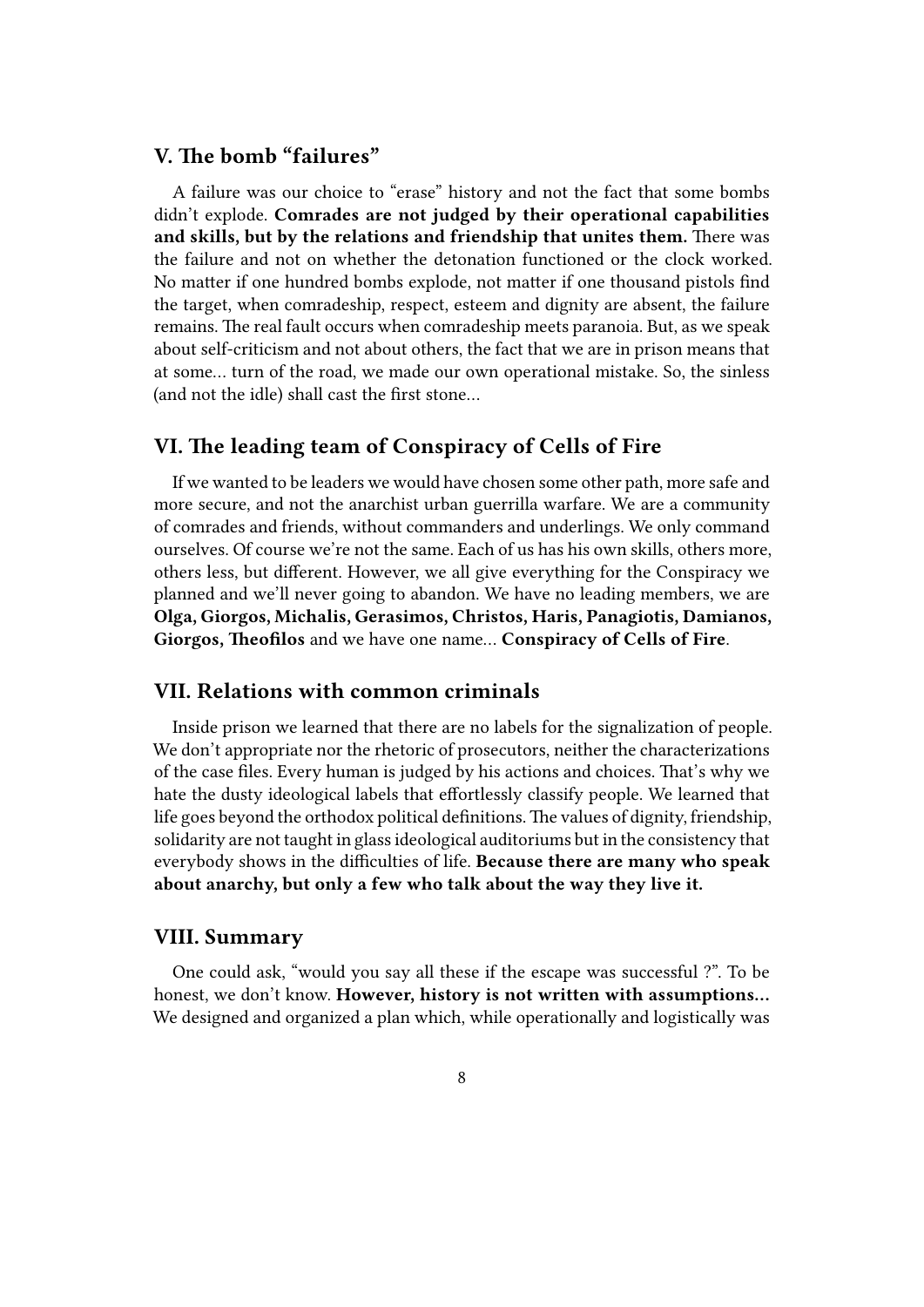# <span id="page-7-0"></span>**V. The bomb "failures"**

A failure was our choice to "erase" history and not the fact that some bombs didn't explode. **Comrades are not judged by their operational capabilities and skills, but by the relations and friendship that unites them.** There was the failure and not on whether the detonation functioned or the clock worked. No matter if one hundred bombs explode, not matter if one thousand pistols find the target, when comradeship, respect, esteem and dignity are absent, the failure remains. The real fault occurs when comradeship meets paranoia. But, as we speak about self-criticism and not about others, the fact that we are in prison means that at some… turn of the road, we made our own operational mistake. So, the sinless (and not the idle) shall cast the first stone…

# **VI. The leading team of Conspiracy of Cells of Fire**

If we wanted to be leaders we would have chosen some other path, more safe and more secure, and not the anarchist urban guerrilla warfare. We are a community of comrades and friends, without commanders and underlings. We only command ourselves. Of course we're not the same. Each of us has his own skills, others more, others less, but different. However, we all give everything for the Conspiracy we planned and we'll never going to abandon. We have no leading members, we are **Olga, Giorgos, Michalis, Gerasimos, Christos, Haris, Panagiotis, Damianos, Giorgos, Theofilos** and we have one name… **Conspiracy of Cells of Fire**.

### **VII. Relations with common criminals**

Inside prison we learned that there are no labels for the signalization of people. We don't appropriate nor the rhetoric of prosecutors, neither the characterizations of the case files. Every human is judged by his actions and choices. That's why we hate the dusty ideological labels that effortlessly classify people. We learned that life goes beyond the orthodox political definitions.The values of dignity, friendship, solidarity are not taught in glass ideological auditoriums but in the consistency that everybody shows in the difficulties of life. **Because there are many who speak about anarchy, but only a few who talk about the way they live it.**

#### **VIII. Summary**

One could ask, "would you say all these if the escape was successful ?". To be honest, we don't know. **However, history is not written with assumptions…** We designed and organized a plan which, while operationally and logistically was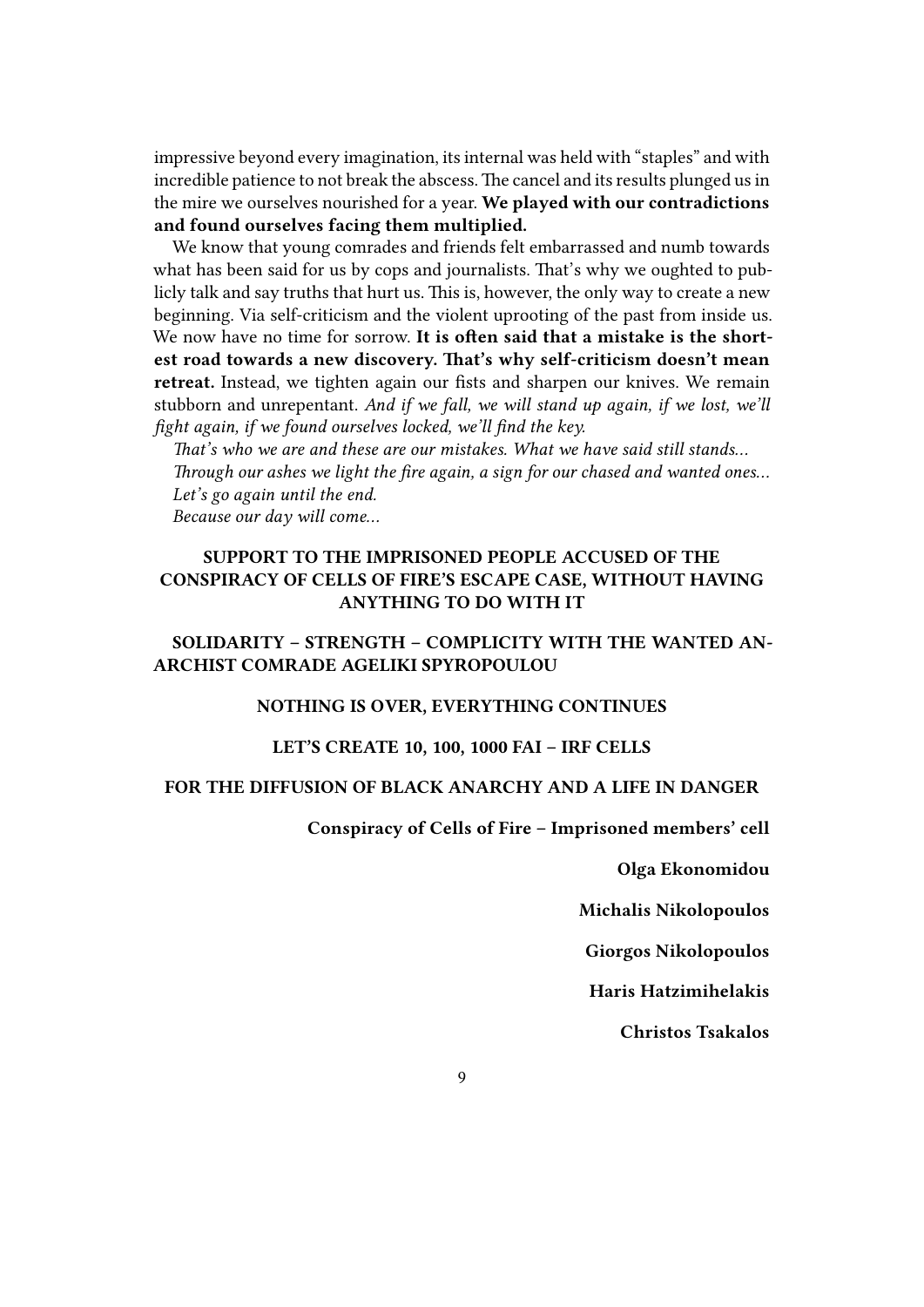impressive beyond every imagination, its internal was held with "staples" and with incredible patience to not break the abscess. The cancel and its results plunged us in the mire we ourselves nourished for a year. **We played with our contradictions and found ourselves facing them multiplied.**

We know that young comrades and friends felt embarrassed and numb towards what has been said for us by cops and journalists. That's why we oughted to publicly talk and say truths that hurt us. This is, however, the only way to create a new beginning. Via self-criticism and the violent uprooting of the past from inside us. We now have no time for sorrow. **It is often said that a mistake is the shortest road towards a new discovery. That's why self-criticism doesn't mean retreat.** Instead, we tighten again our fists and sharpen our knives. We remain stubborn and unrepentant. *And if we fall, we will stand up again, if we lost, we'll fight again, if we found ourselves locked, we'll find the key.*

*That's who we are and these are our mistakes. What we have said still stands… Through our ashes we light the fire again, a sign for our chased and wanted ones… Let's go again until the end. Because our day will come…*

# **SUPPORT TO THE IMPRISONED PEOPLE ACCUSED OF THE CONSPIRACY OF CELLS OF FIRE'S ESCAPE CASE, WITHOUT HAVING ANYTHING TO DO WITH IT**

# **SOLIDARITY – STRENGTH – COMPLICITY WITH THE WANTED AN-ARCHIST COMRADE AGELIKI SPYROPOULOU**

#### **NOTHING IS OVER, EVERYTHING CONTINUES**

### **LET'S CREATE 10, 100, 1000 FAI – IRF CELLS**

#### **FOR THE DIFFUSION OF BLACK ANARCHY AND A LIFE IN DANGER**

**Conspiracy of Cells of Fire – Imprisoned members' cell**

**Olga Ekonomidou**

**Michalis Nikolopoulos**

**Giorgos Nikolopoulos**

**Haris Hatzimihelakis**

**Christos Tsakalos**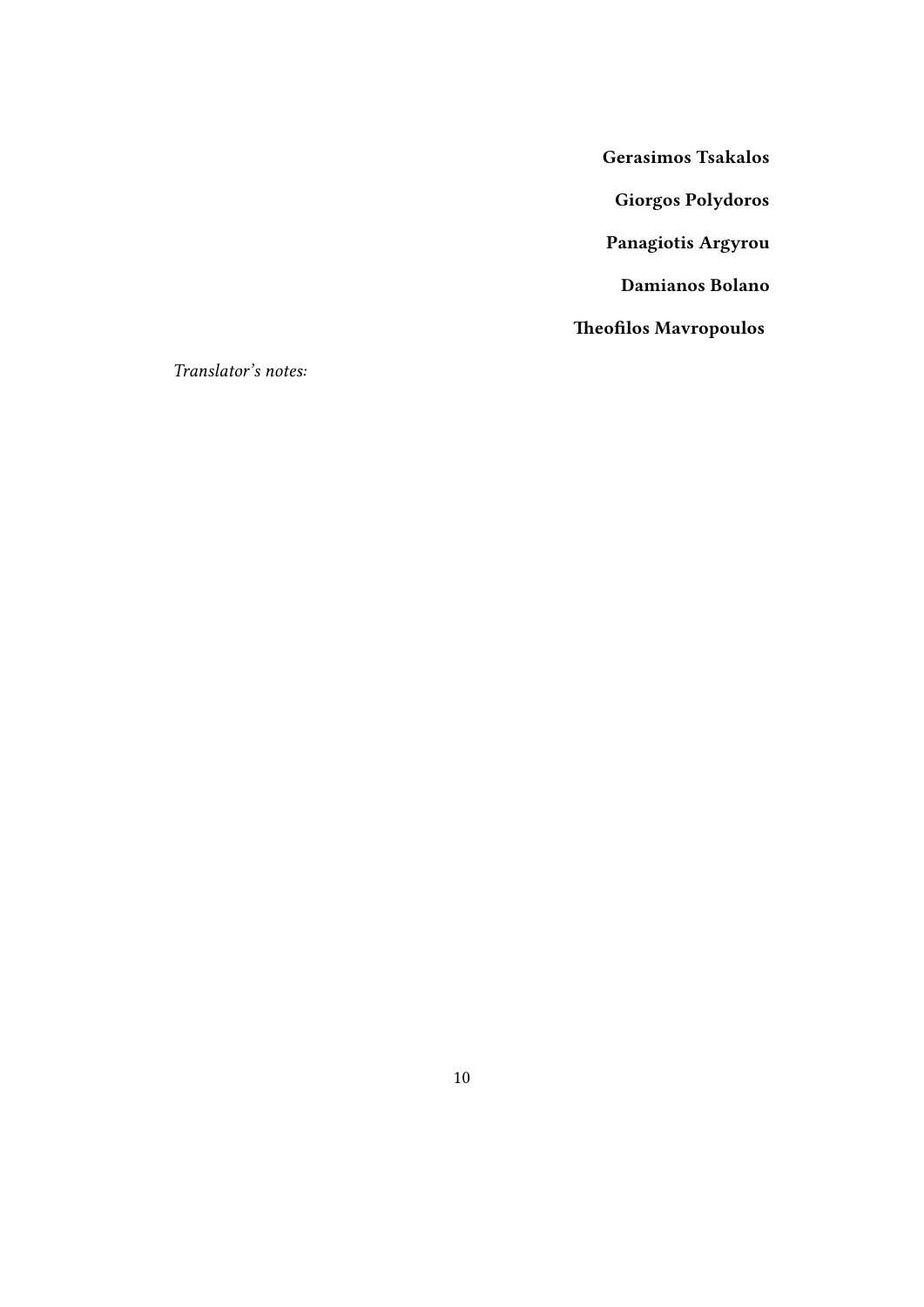**Gerasimos Tsakalos**

**Giorgos Polydoros**

**Panagiotis Argyrou**

**Damianos Bolano**

**Theofilos Mavropoulos**

*Translator's notes:*